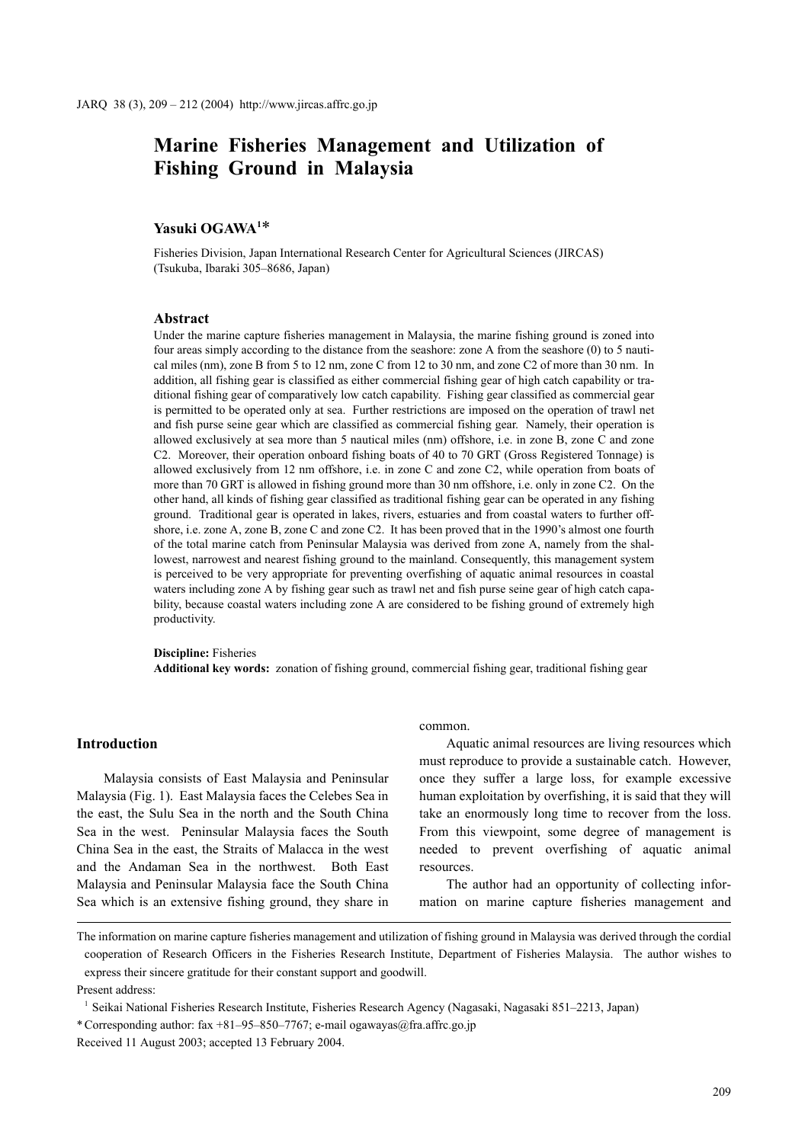# **Marine Fisheries Management and Utilization of Fishing Ground in Malaysia**

# Yasuki OGAWA<sup>1\*</sup>

Fisheries Division, Japan International Research Center for Agricultural Sciences (JIRCAS) (Tsukuba, Ibaraki 305–8686, Japan)

## **Abstract**

Under the marine capture fisheries management in Malaysia, the marine fishing ground is zoned into four areas simply according to the distance from the seashore: zone A from the seashore (0) to 5 nautical miles (nm), zone B from 5 to 12 nm, zone C from 12 to 30 nm, and zone C2 of more than 30 nm. In addition, all fishing gear is classified as either commercial fishing gear of high catch capability or traditional fishing gear of comparatively low catch capability. Fishing gear classified as commercial gear is permitted to be operated only at sea. Further restrictions are imposed on the operation of trawl net and fish purse seine gear which are classified as commercial fishing gear. Namely, their operation is allowed exclusively at sea more than 5 nautical miles (nm) offshore, i.e. in zone B, zone C and zone C2. Moreover, their operation onboard fishing boats of 40 to 70 GRT (Gross Registered Tonnage) is allowed exclusively from 12 nm offshore, i.e. in zone C and zone C2, while operation from boats of more than 70 GRT is allowed in fishing ground more than 30 nm offshore, i.e. only in zone C2. On the other hand, all kinds of fishing gear classified as traditional fishing gear can be operated in any fishing ground. Traditional gear is operated in lakes, rivers, estuaries and from coastal waters to further offshore, i.e. zone A, zone B, zone C and zone C2. It has been proved that in the 1990's almost one fourth of the total marine catch from Peninsular Malaysia was derived from zone A, namely from the shallowest, narrowest and nearest fishing ground to the mainland. Consequently, this management system is perceived to be very appropriate for preventing overfishing of aquatic animal resources in coastal waters including zone A by fishing gear such as trawl net and fish purse seine gear of high catch capability, because coastal waters including zone A are considered to be fishing ground of extremely high productivity.

**Discipline:** Fisheries **Additional key words:** zonation of fishing ground, commercial fishing gear, traditional fishing gear

# **Introduction**

Malaysia consists of East Malaysia and Peninsular Malaysia (Fig. 1). East Malaysia faces the Celebes Sea in the east, the Sulu Sea in the north and the South China Sea in the west. Peninsular Malaysia faces the South China Sea in the east, the Straits of Malacca in the west and the Andaman Sea in the northwest. Both East Malaysia and Peninsular Malaysia face the South China Sea which is an extensive fishing ground, they share in

#### common.

Aquatic animal resources are living resources which must reproduce to provide a sustainable catch. However, once they suffer a large loss, for example excessive human exploitation by overfishing, it is said that they will take an enormously long time to recover from the loss. From this viewpoint, some degree of management is needed to prevent overfishing of aquatic animal resources.

The author had an opportunity of collecting information on marine capture fisheries management and

\* Corresponding author: fax +81–95–850–7767; e-mail ogawayas@fra.affrc.go.jp

The information on marine capture fisheries management and utilization of fishing ground in Malaysia was derived through the cordial cooperation of Research Officers in the Fisheries Research Institute, Department of Fisheries Malaysia. The author wishes to express their sincere gratitude for their constant support and goodwill. Present address:

<sup>1</sup> Seikai National Fisheries Research Institute, Fisheries Research Agency (Nagasaki, Nagasaki 851–2213, Japan)

Received 11 August 2003; accepted 13 February 2004.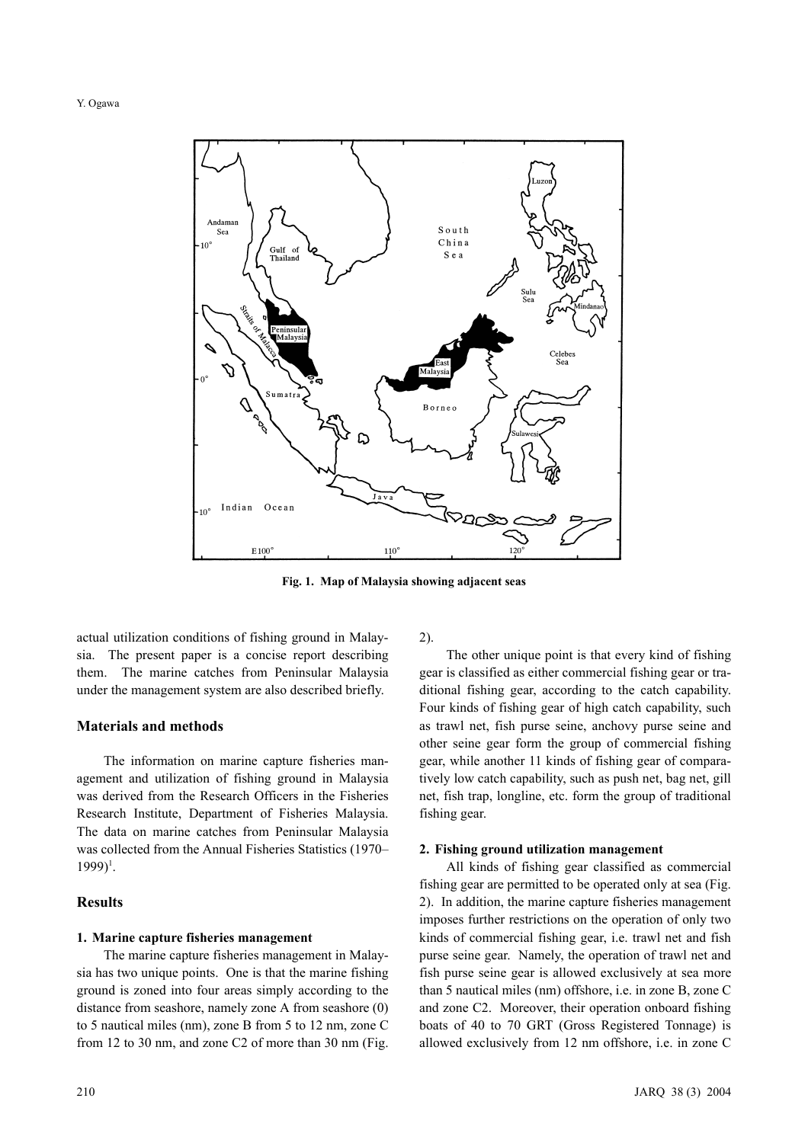

**Fig. 1. Map of Malaysia showing adjacent seas**

actual utilization conditions of fishing ground in Malaysia. The present paper is a concise report describing them. The marine catches from Peninsular Malaysia under the management system are also described briefly.

# **Materials and methods**

The information on marine capture fisheries management and utilization of fishing ground in Malaysia was derived from the Research Officers in the Fisheries Research Institute, Department of Fisheries Malaysia. The data on marine catches from Peninsular Malaysia was collected from the Annual Fisheries Statistics (1970–  $1999$ <sup>1</sup>.

## **Results**

#### **1. Marine capture fisheries management**

The marine capture fisheries management in Malaysia has two unique points. One is that the marine fishing ground is zoned into four areas simply according to the distance from seashore, namely zone A from seashore (0) to 5 nautical miles (nm), zone B from 5 to 12 nm, zone C from 12 to 30 nm, and zone C2 of more than 30 nm (Fig.

2).

The other unique point is that every kind of fishing gear is classified as either commercial fishing gear or traditional fishing gear, according to the catch capability. Four kinds of fishing gear of high catch capability, such as trawl net, fish purse seine, anchovy purse seine and other seine gear form the group of commercial fishing gear, while another 11 kinds of fishing gear of comparatively low catch capability, such as push net, bag net, gill net, fish trap, longline, etc. form the group of traditional fishing gear.

#### **2. Fishing ground utilization management**

All kinds of fishing gear classified as commercial fishing gear are permitted to be operated only at sea (Fig. 2). In addition, the marine capture fisheries management imposes further restrictions on the operation of only two kinds of commercial fishing gear, i.e. trawl net and fish purse seine gear. Namely, the operation of trawl net and fish purse seine gear is allowed exclusively at sea more than 5 nautical miles (nm) offshore, i.e. in zone B, zone C and zone C2. Moreover, their operation onboard fishing boats of 40 to 70 GRT (Gross Registered Tonnage) is allowed exclusively from 12 nm offshore, i.e. in zone C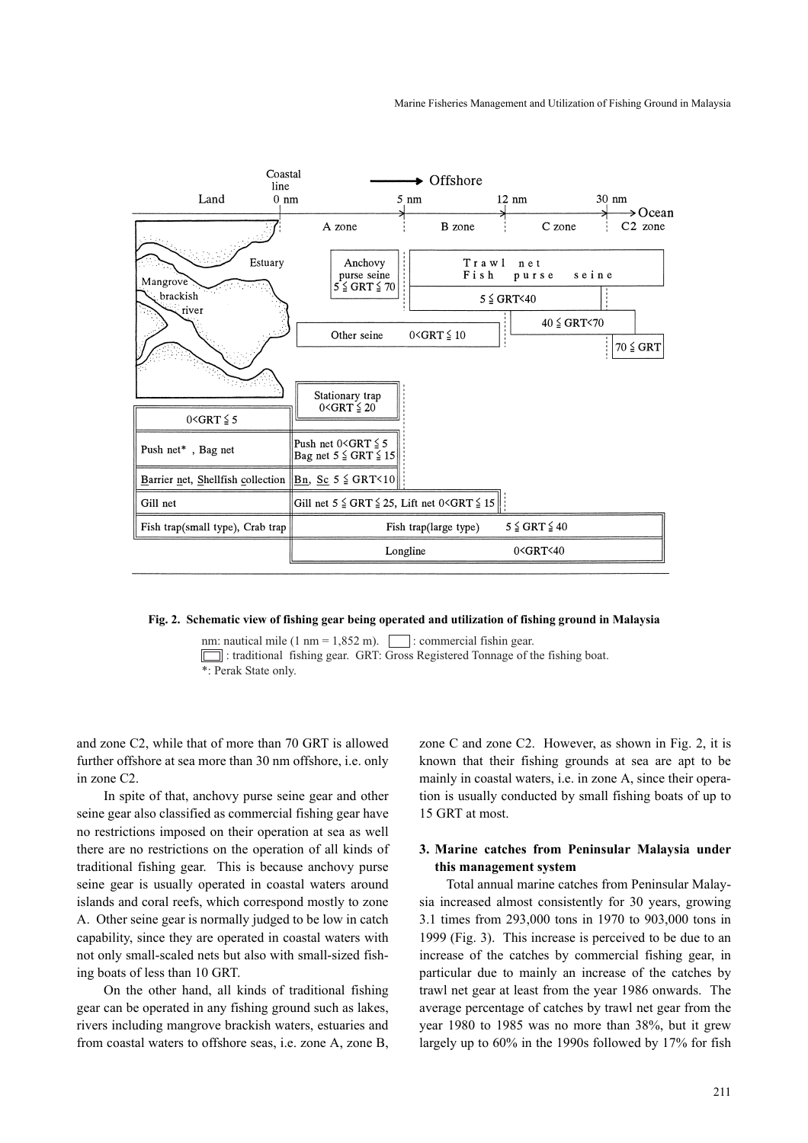

#### **Fig. 2. Schematic view of fishing gear being operated and utilization of fishing ground in Malaysia**

nm: nautical mile (1 nm = 1,852 m).  $\Box$ : commercial fishin gear.

 $\exists$ : traditional fishing gear. GRT: Gross Registered Tonnage of the fishing boat. \*: Perak State only.

and zone C2, while that of more than 70 GRT is allowed further offshore at sea more than 30 nm offshore, i.e. only in zone C2.

In spite of that, anchovy purse seine gear and other seine gear also classified as commercial fishing gear have no restrictions imposed on their operation at sea as well there are no restrictions on the operation of all kinds of traditional fishing gear. This is because anchovy purse seine gear is usually operated in coastal waters around islands and coral reefs, which correspond mostly to zone A. Other seine gear is normally judged to be low in catch capability, since they are operated in coastal waters with not only small-scaled nets but also with small-sized fishing boats of less than 10 GRT.

On the other hand, all kinds of traditional fishing gear can be operated in any fishing ground such as lakes, rivers including mangrove brackish waters, estuaries and from coastal waters to offshore seas, i.e. zone A, zone B, zone C and zone C2. However, as shown in Fig. 2, it is known that their fishing grounds at sea are apt to be mainly in coastal waters, i.e. in zone A, since their operation is usually conducted by small fishing boats of up to 15 GRT at most.

# **3. Marine catches from Peninsular Malaysia under this management system**

Total annual marine catches from Peninsular Malaysia increased almost consistently for 30 years, growing 3.1 times from 293,000 tons in 1970 to 903,000 tons in 1999 (Fig. 3). This increase is perceived to be due to an increase of the catches by commercial fishing gear, in particular due to mainly an increase of the catches by trawl net gear at least from the year 1986 onwards. The average percentage of catches by trawl net gear from the year 1980 to 1985 was no more than 38%, but it grew largely up to 60% in the 1990s followed by 17% for fish